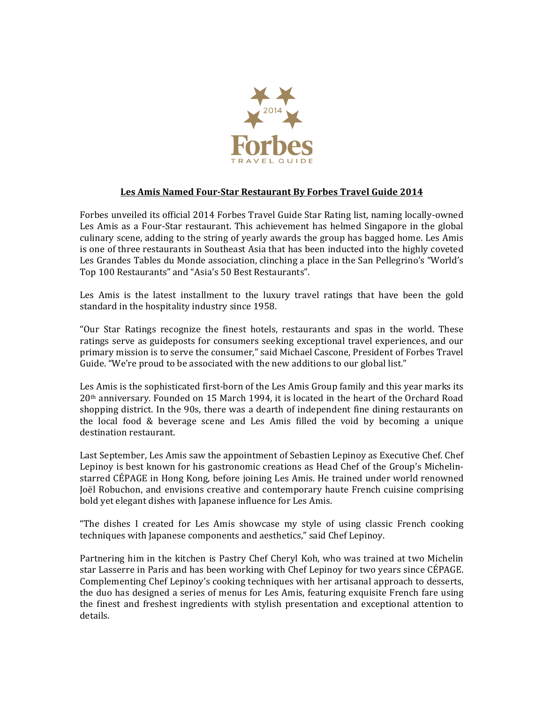

## Les Amis Named Four-Star Restaurant By Forbes Travel Guide 2014

Forbes unveiled its official 2014 Forbes Travel Guide Star Rating list, naming locally-owned Les Amis as a Four-Star restaurant. This achievement has helmed Singapore in the global culinary scene, adding to the string of yearly awards the group has bagged home. Les Amis is one of three restaurants in Southeast Asia that has been inducted into the highly coveted Les Grandes Tables du Monde association, clinching a place in the San Pellegrino's "World's Top 100 Restaurants" and "Asia's 50 Best Restaurants".

Les Amis is the latest installment to the luxury travel ratings that have been the gold standard in the hospitality industry since 1958.

"Our Star Ratings recognize the finest hotels, restaurants and spas in the world. These ratings serve as guideposts for consumers seeking exceptional travel experiences, and our primary mission is to serve the consumer," said Michael Cascone, President of Forbes Travel Guide. "We're proud to be associated with the new additions to our global list."

Les Amis is the sophisticated first-born of the Les Amis Group family and this year marks its  $20<sup>th</sup>$  anniversary. Founded on 15 March 1994, it is located in the heart of the Orchard Road shopping district. In the 90s, there was a dearth of independent fine dining restaurants on the local food  $&$  beverage scene and Les Amis filled the void by becoming a unique destination restaurant.

Last September, Les Amis saw the appointment of Sebastien Lepinoy as Executive Chef. Chef Lepinoy is best known for his gastronomic creations as Head Chef of the Group's Michelinstarred CÉPAGE in Hong Kong, before joining Les Amis. He trained under world renowned Joël Robuchon, and envisions creative and contemporary haute French cuisine comprising bold yet elegant dishes with Japanese influence for Les Amis.

"The dishes I created for Les Amis showcase my style of using classic French cooking techniques with Japanese components and aesthetics," said Chef Lepinoy.

Partnering him in the kitchen is Pastry Chef Cheryl Koh, who was trained at two Michelin star Lasserre in Paris and has been working with Chef Lepinoy for two years since CÉPAGE. Complementing Chef Lepinoy's cooking techniques with her artisanal approach to desserts, the duo has designed a series of menus for Les Amis, featuring exquisite French fare using the finest and freshest ingredients with stylish presentation and exceptional attention to details.